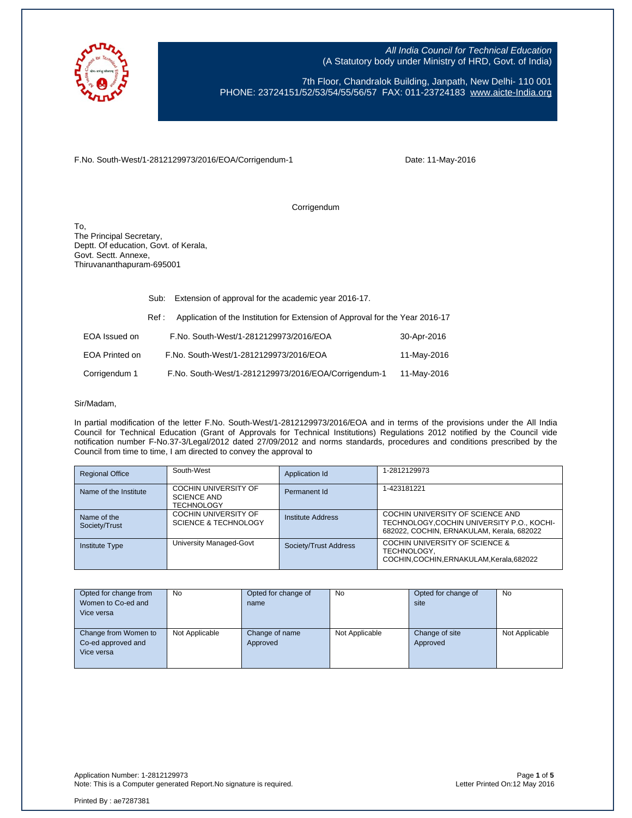

7th Floor, Chandralok Building, Janpath, New Delhi- 110 001 PHONE: 23724151/52/53/54/55/56/57 FAX: 011-23724183 [www.aicte-India.org](http://www.aicte-india.org/)

F.No. South-West/1-2812129973/2016/EOA/Corrigendum-1

Date: 11-May-2016

Corrigendum

To, The Principal Secretary, Deptt. Of education, Govt. of Kerala, Govt. Sectt. Annexe, Thiruvananthapuram-695001

|                | Sub:  | Extension of approval for the academic year 2016-17.                          |             |  |
|----------------|-------|-------------------------------------------------------------------------------|-------------|--|
|                | Ref : | Application of the Institution for Extension of Approval for the Year 2016-17 |             |  |
| EOA Issued on  |       | F.No. South-West/1-2812129973/2016/EOA                                        | 30-Apr-2016 |  |
| EOA Printed on |       | F.No. South-West/1-2812129973/2016/EOA                                        | 11-May-2016 |  |
| Corrigendum 1  |       | F.No. South-West/1-2812129973/2016/EOA/Corrigendum-1                          | 11-May-2016 |  |

#### Sir/Madam,

In partial modification of the letter F.No. South-West/1-2812129973/2016/EOA and in terms of the provisions under the All India Council for Technical Education (Grant of Approvals for Technical Institutions) Regulations 2012 notified by the Council vide notification number F-No.37-3/Legal/2012 dated 27/09/2012 and norms standards, procedures and conditions prescribed by the Council from time to time, I am directed to convey the approval to

| <b>Regional Office</b>       | South-West                                                             | Application Id        | 1-2812129973                                                                                                                |
|------------------------------|------------------------------------------------------------------------|-----------------------|-----------------------------------------------------------------------------------------------------------------------------|
| Name of the Institute        | <b>COCHIN UNIVERSITY OF</b><br><b>SCIENCE AND</b><br><b>TECHNOLOGY</b> | Permanent Id          | 1-423181221                                                                                                                 |
| Name of the<br>Society/Trust | <b>COCHIN UNIVERSITY OF</b><br><b>SCIENCE &amp; TECHNOLOGY</b>         | Institute Address     | COCHIN UNIVERSITY OF SCIENCE AND<br>TECHNOLOGY, COCHIN UNIVERSITY P.O., KOCHI-<br>682022, COCHIN, ERNAKULAM, Kerala, 682022 |
| <b>Institute Type</b>        | University Managed-Govt                                                | Society/Trust Address | COCHIN UNIVERSITY OF SCIENCE &<br>TECHNOLOGY,<br>COCHIN.COCHIN.ERNAKULAM.Kerala.682022                                      |

| Opted for change from | No             | Opted for change of | <b>No</b>      | Opted for change of | <b>No</b>      |
|-----------------------|----------------|---------------------|----------------|---------------------|----------------|
| Women to Co-ed and    |                | name                |                | site                |                |
| Vice versa            |                |                     |                |                     |                |
|                       |                |                     |                |                     |                |
| Change from Women to  | Not Applicable | Change of name      | Not Applicable | Change of site      | Not Applicable |
| Co-ed approved and    |                | Approved            |                | Approved            |                |
| Vice versa            |                |                     |                |                     |                |
|                       |                |                     |                |                     |                |

Application Number: 1-2812129973 Page **1** of **5** Note: This is a Computer generated Report. No signature is required.

Printed By : ae7287381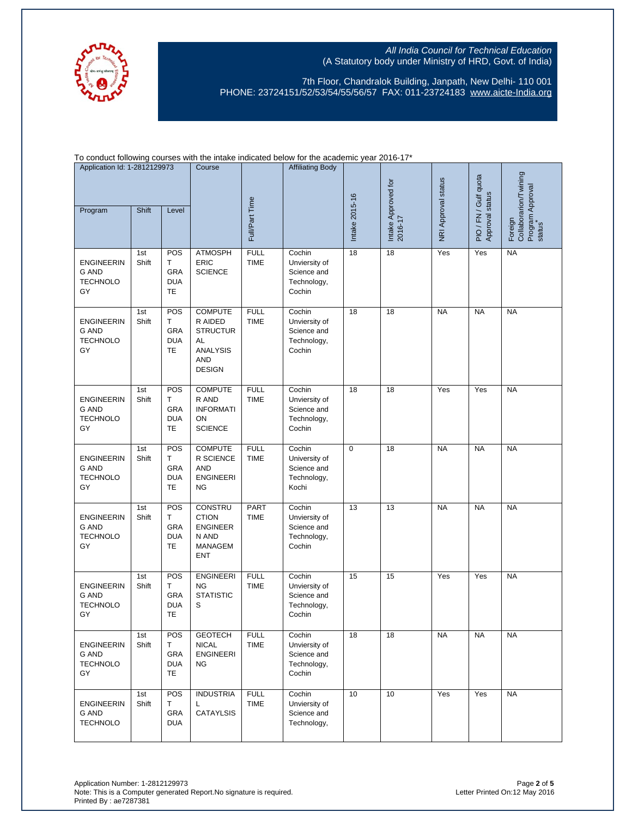

7th Floor, Chandralok Building, Janpath, New Delhi- 110 001 PHONE: 23724151/52/53/54/55/56/57 FAX: 011-23724183 [www.aicte-India.org](http://www.aicte-india.org/)

To conduct following courses with the intake indicated below for the academic year 2016-17\*

| Application Id: 1-2812129973<br>Shift<br>Program<br>Level |                                                            |              | Course                                            |                                                                                                      | <b>Affiliating Body</b>    |                                                                 | Intake Approved for<br>2016-17 | NRI Approval status | PIO / FN / Gulf quota | Collaborarion/Twining |                                       |
|-----------------------------------------------------------|------------------------------------------------------------|--------------|---------------------------------------------------|------------------------------------------------------------------------------------------------------|----------------------------|-----------------------------------------------------------------|--------------------------------|---------------------|-----------------------|-----------------------|---------------------------------------|
|                                                           |                                                            |              |                                                   |                                                                                                      | Full/Part Time             |                                                                 | Intake 2015-16                 |                     |                       | Approval status       | Program Approval<br>status<br>Foreign |
|                                                           | <b>ENGINEERIN</b><br><b>G AND</b><br><b>TECHNOLO</b><br>GY | 1st<br>Shift | POS<br>т<br>GRA<br><b>DUA</b><br>TE               | <b>ATMOSPH</b><br>ERIC<br><b>SCIENCE</b>                                                             | <b>FULL</b><br><b>TIME</b> | Cochin<br>Unviersity of<br>Science and<br>Technology,<br>Cochin | 18                             | $\overline{18}$     | Yes                   | Yes                   | <b>NA</b>                             |
|                                                           | <b>ENGINEERIN</b><br><b>G AND</b><br><b>TECHNOLO</b><br>GY | 1st<br>Shift | POS<br>т<br>GRA<br><b>DUA</b><br><b>TE</b>        | <b>COMPUTE</b><br>R AIDED<br><b>STRUCTUR</b><br>AL<br><b>ANALYSIS</b><br><b>AND</b><br><b>DESIGN</b> | <b>FULL</b><br><b>TIME</b> | Cochin<br>Unviersity of<br>Science and<br>Technology,<br>Cochin | 18                             | 18                  | <b>NA</b>             | <b>NA</b>             | <b>NA</b>                             |
|                                                           | <b>ENGINEERIN</b><br><b>G AND</b><br><b>TECHNOLO</b><br>GY | 1st<br>Shift | POS<br>т<br>GRA<br><b>DUA</b><br>TE               | <b>COMPUTE</b><br>R AND<br><b>INFORMATI</b><br>ON<br><b>SCIENCE</b>                                  | <b>FULL</b><br><b>TIME</b> | Cochin<br>Unviersity of<br>Science and<br>Technology,<br>Cochin | 18                             | 18                  | Yes                   | Yes                   | <b>NA</b>                             |
|                                                           | <b>ENGINEERIN</b><br><b>G AND</b><br><b>TECHNOLO</b><br>GY | 1st<br>Shift | POS<br>T<br><b>GRA</b><br><b>DUA</b><br>TE        | <b>COMPUTE</b><br>R SCIENCE<br><b>AND</b><br><b>ENGINEERI</b><br><b>NG</b>                           | <b>FULL</b><br><b>TIME</b> | Cochin<br>University of<br>Science and<br>Technology,<br>Kochi  | $\mathbf 0$                    | 18                  | <b>NA</b>             | <b>NA</b>             | <b>NA</b>                             |
|                                                           | <b>ENGINEERIN</b><br><b>G AND</b><br><b>TECHNOLO</b><br>GY | 1st<br>Shift | POS<br>Т<br>GRA<br><b>DUA</b><br>TE               | CONSTRU<br><b>CTION</b><br><b>ENGINEER</b><br>N AND<br><b>MANAGEM</b><br><b>ENT</b>                  | PART<br><b>TIME</b>        | Cochin<br>Unviersity of<br>Science and<br>Technology,<br>Cochin | 13                             | 13                  | <b>NA</b>             | <b>NA</b>             | <b>NA</b>                             |
|                                                           | <b>ENGINEERIN</b><br><b>G AND</b><br><b>TECHNOLO</b><br>GY | 1st<br>Shift | POS<br>Т<br><b>GRA</b><br><b>DUA</b><br><b>TE</b> | <b>ENGINEERI</b><br><b>NG</b><br><b>STATISTIC</b><br>S                                               | <b>FULL</b><br><b>TIME</b> | Cochin<br>Unviersity of<br>Science and<br>Technology,<br>Cochin | 15                             | 15                  | Yes                   | Yes                   | <b>NA</b>                             |
|                                                           | <b>ENGINEERIN</b><br>G AND<br><b>TECHNOLO</b><br>GY        | 1st<br>Shift | POS<br>Т<br>GRA<br><b>DUA</b><br>TE               | <b>GEOTECH</b><br><b>NICAL</b><br><b>ENGINEERI</b><br><b>NG</b>                                      | <b>FULL</b><br><b>TIME</b> | Cochin<br>Unviersity of<br>Science and<br>Technology,<br>Cochin | 18                             | 18                  | <b>NA</b>             | <b>NA</b>             | <b>NA</b>                             |
|                                                           | <b>ENGINEERIN</b><br>G AND<br><b>TECHNOLO</b>              | 1st<br>Shift | POS<br>Т<br>GRA<br><b>DUA</b>                     | <b>INDUSTRIA</b><br>L.<br><b>CATAYLSIS</b>                                                           | <b>FULL</b><br>TIME        | Cochin<br>Unviersity of<br>Science and<br>Technology,           | 10                             | 10                  | Yes                   | Yes                   | <b>NA</b>                             |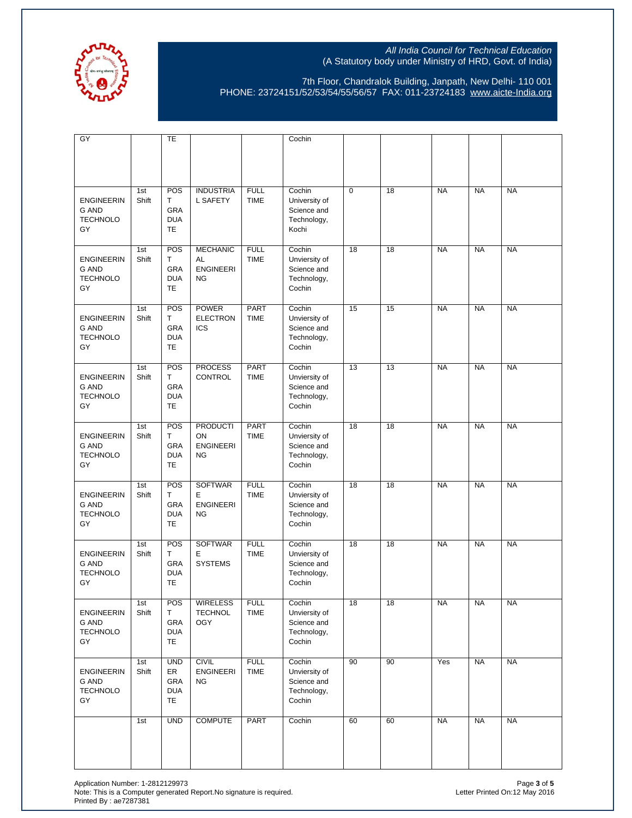

7th Floor, Chandralok Building, Janpath, New Delhi- 110 001 PHONE: 23724151/52/53/54/55/56/57 FAX: 011-23724183 [www.aicte-India.org](http://www.aicte-india.org/)

| GY                                                         |              | TE                                                 |                                                        |                            | Cochin                                                          |             |    |           |           |           |
|------------------------------------------------------------|--------------|----------------------------------------------------|--------------------------------------------------------|----------------------------|-----------------------------------------------------------------|-------------|----|-----------|-----------|-----------|
|                                                            |              |                                                    |                                                        |                            |                                                                 |             |    |           |           |           |
| <b>ENGINEERIN</b><br><b>G AND</b><br><b>TECHNOLO</b><br>GY | 1st<br>Shift | POS<br>T<br>GRA<br><b>DUA</b><br><b>TE</b>         | <b>INDUSTRIA</b><br><b>L SAFETY</b>                    | <b>FULL</b><br><b>TIME</b> | Cochin<br>University of<br>Science and<br>Technology,<br>Kochi  | $\mathbf 0$ | 18 | <b>NA</b> | <b>NA</b> | <b>NA</b> |
| <b>ENGINEERIN</b><br>G AND<br><b>TECHNOLO</b><br>GY        | 1st<br>Shift | POS<br>T.<br>GRA<br><b>DUA</b><br><b>TE</b>        | <b>MECHANIC</b><br>AL<br><b>ENGINEERI</b><br><b>NG</b> | <b>FULL</b><br><b>TIME</b> | Cochin<br>Unviersity of<br>Science and<br>Technology,<br>Cochin | 18          | 18 | <b>NA</b> | <b>NA</b> | <b>NA</b> |
| <b>ENGINEERIN</b><br><b>G AND</b><br><b>TECHNOLO</b><br>GY | 1st<br>Shift | POS<br>Τ<br>GRA<br><b>DUA</b><br>TE                | <b>POWER</b><br><b>ELECTRON</b><br><b>ICS</b>          | <b>PART</b><br><b>TIME</b> | Cochin<br>Unviersity of<br>Science and<br>Technology,<br>Cochin | 15          | 15 | <b>NA</b> | <b>NA</b> | <b>NA</b> |
| <b>ENGINEERIN</b><br><b>G AND</b><br><b>TECHNOLO</b><br>GY | 1st<br>Shift | POS<br>Τ<br>GRA<br><b>DUA</b><br><b>TE</b>         | <b>PROCESS</b><br><b>CONTROL</b>                       | <b>PART</b><br><b>TIME</b> | Cochin<br>Unviersity of<br>Science and<br>Technology,<br>Cochin | 13          | 13 | <b>NA</b> | <b>NA</b> | <b>NA</b> |
| <b>ENGINEERIN</b><br><b>G AND</b><br><b>TECHNOLO</b><br>GY | 1st<br>Shift | POS<br>T.<br>GRA<br><b>DUA</b><br>TE               | <b>PRODUCTI</b><br>ON<br><b>ENGINEERI</b><br><b>NG</b> | <b>PART</b><br><b>TIME</b> | Cochin<br>Unviersity of<br>Science and<br>Technology,<br>Cochin | 18          | 18 | <b>NA</b> | <b>NA</b> | <b>NA</b> |
| <b>ENGINEERIN</b><br><b>G AND</b><br><b>TECHNOLO</b><br>GY | 1st<br>Shift | POS<br>T.<br>GRA<br><b>DUA</b><br><b>TE</b>        | <b>SOFTWAR</b><br>E.<br><b>ENGINEERI</b><br><b>NG</b>  | <b>FULL</b><br><b>TIME</b> | Cochin<br>Unviersity of<br>Science and<br>Technology,<br>Cochin | 18          | 18 | <b>NA</b> | <b>NA</b> | <b>NA</b> |
| <b>ENGINEERIN</b><br><b>G AND</b><br><b>TECHNOLO</b><br>GY | 1st<br>Shift | POS<br>T.<br>GRA<br><b>DUA</b><br><b>TE</b>        | <b>SOFTWAR</b><br>Е<br><b>SYSTEMS</b>                  | <b>FULL</b><br><b>TIME</b> | Cochin<br>Unviersity of<br>Science and<br>Technology,<br>Cochin | 18          | 18 | <b>NA</b> | <b>NA</b> | <b>NA</b> |
| <b>ENGINEERIN</b><br>G AND<br><b>TECHNOLO</b><br>GY        | 1st<br>Shift | POS<br>Τ<br>GRA<br><b>DUA</b><br>TE                | <b>WIRELESS</b><br><b>TECHNOL</b><br><b>OGY</b>        | <b>FULL</b><br><b>TIME</b> | Cochin<br>Unviersity of<br>Science and<br>Technology,<br>Cochin | 18          | 18 | <b>NA</b> | <b>NA</b> | <b>NA</b> |
| <b>ENGINEERIN</b><br><b>G AND</b><br><b>TECHNOLO</b><br>GY | 1st<br>Shift | <b>UND</b><br>ER<br>GRA<br><b>DUA</b><br><b>TE</b> | <b>CIVIL</b><br><b>ENGINEERI</b><br><b>NG</b>          | <b>FULL</b><br><b>TIME</b> | Cochin<br>Unviersity of<br>Science and<br>Technology,<br>Cochin | 90          | 90 | Yes       | <b>NA</b> | <b>NA</b> |
|                                                            | 1st          | <b>UND</b>                                         | <b>COMPUTE</b>                                         | <b>PART</b>                | Cochin                                                          | 60          | 60 | <b>NA</b> | <b>NA</b> | <b>NA</b> |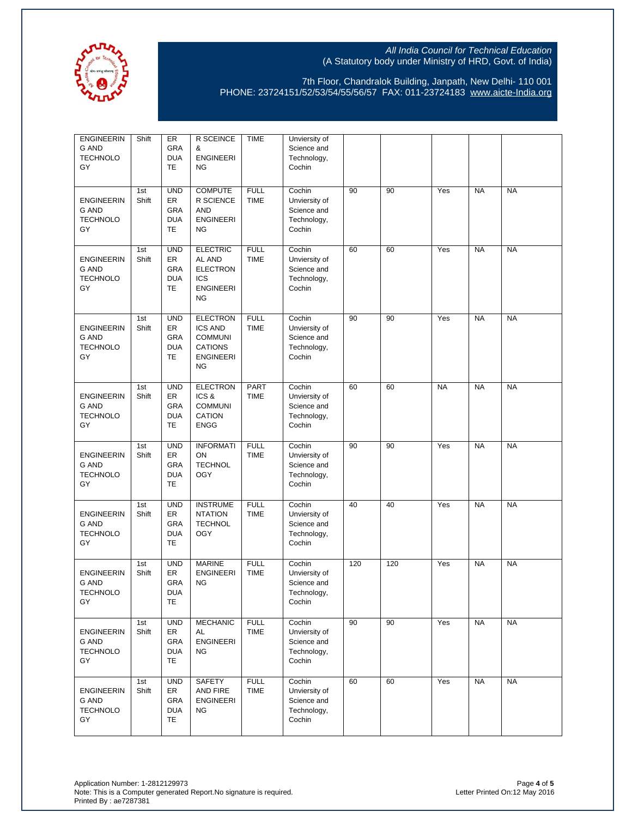

7th Floor, Chandralok Building, Janpath, New Delhi- 110 001 PHONE: 23724151/52/53/54/55/56/57 FAX: 011-23724183 [www.aicte-India.org](http://www.aicte-india.org/)

| <b>ENGINEERIN</b><br>G AND<br><b>TECHNOLO</b><br>GY        | Shift        | ER<br>GRA<br><b>DUA</b><br>TE                      | R SCEINCE<br>&<br><b>ENGINEERI</b><br><b>NG</b>                                                        | <b>TIME</b>                | Unviersity of<br>Science and<br>Technology,<br>Cochin           |     |     |           |           |           |
|------------------------------------------------------------|--------------|----------------------------------------------------|--------------------------------------------------------------------------------------------------------|----------------------------|-----------------------------------------------------------------|-----|-----|-----------|-----------|-----------|
| <b>ENGINEERIN</b><br><b>G AND</b><br><b>TECHNOLO</b><br>GY | 1st<br>Shift | <b>UND</b><br>ER<br>GRA<br><b>DUA</b><br>TE        | <b>COMPUTE</b><br>R SCIENCE<br><b>AND</b><br><b>ENGINEERI</b><br><b>NG</b>                             | <b>FULL</b><br><b>TIME</b> | Cochin<br>Unviersity of<br>Science and<br>Technology,<br>Cochin | 90  | 90  | Yes       | <b>NA</b> | <b>NA</b> |
| <b>ENGINEERIN</b><br>G AND<br><b>TECHNOLO</b><br>GY        | 1st<br>Shift | <b>UND</b><br>ER<br>GRA<br><b>DUA</b><br>TE        | <b>ELECTRIC</b><br>AL AND<br><b>ELECTRON</b><br><b>ICS</b><br><b>ENGINEERI</b><br><b>NG</b>            | <b>FULL</b><br><b>TIME</b> | Cochin<br>Unviersity of<br>Science and<br>Technology,<br>Cochin | 60  | 60  | Yes       | <b>NA</b> | <b>NA</b> |
| <b>ENGINEERIN</b><br><b>G AND</b><br><b>TECHNOLO</b><br>GY | 1st<br>Shift | <b>UND</b><br>ER<br>GRA<br><b>DUA</b><br><b>TE</b> | <b>ELECTRON</b><br><b>ICS AND</b><br><b>COMMUNI</b><br><b>CATIONS</b><br><b>ENGINEERI</b><br><b>NG</b> | <b>FULL</b><br><b>TIME</b> | Cochin<br>Unviersity of<br>Science and<br>Technology,<br>Cochin | 90  | 90  | Yes       | <b>NA</b> | <b>NA</b> |
| <b>ENGINEERIN</b><br><b>G AND</b><br><b>TECHNOLO</b><br>GY | 1st<br>Shift | <b>UND</b><br>ER<br>GRA<br><b>DUA</b><br>TE        | <b>ELECTRON</b><br>ICS&<br><b>COMMUNI</b><br>CATION<br><b>ENGG</b>                                     | <b>PART</b><br><b>TIME</b> | Cochin<br>Unviersity of<br>Science and<br>Technology,<br>Cochin | 60  | 60  | <b>NA</b> | <b>NA</b> | <b>NA</b> |
| <b>ENGINEERIN</b><br><b>G AND</b><br><b>TECHNOLO</b><br>GY | 1st<br>Shift | <b>UND</b><br>ER<br>GRA<br><b>DUA</b><br>TE        | <b>INFORMATI</b><br>ON<br><b>TECHNOL</b><br><b>OGY</b>                                                 | <b>FULL</b><br><b>TIME</b> | Cochin<br>Unviersity of<br>Science and<br>Technology,<br>Cochin | 90  | 90  | Yes       | <b>NA</b> | <b>NA</b> |
| <b>ENGINEERIN</b><br><b>G AND</b><br><b>TECHNOLO</b><br>GY | 1st<br>Shift | <b>UND</b><br>ER<br>GRA<br><b>DUA</b><br>TE        | <b>INSTRUME</b><br><b>NTATION</b><br><b>TECHNOL</b><br><b>OGY</b>                                      | <b>FULL</b><br><b>TIME</b> | Cochin<br>Unviersity of<br>Science and<br>Technology,<br>Cochin | 40  | 40  | Yes       | <b>NA</b> | <b>NA</b> |
| <b>ENGINEERIN</b><br><b>G AND</b><br><b>TECHNOLO</b><br>GY | 1st<br>Shift | <b>UND</b><br>ER<br><b>GRA</b><br><b>DUA</b><br>TE | <b>MARINE</b><br><b>ENGINEERI</b><br><b>NG</b>                                                         | <b>FULL</b><br><b>TIME</b> | Cochin<br>Unviersity of<br>Science and<br>Technology,<br>Cochin | 120 | 120 | Yes       | <b>NA</b> | <b>NA</b> |
| <b>ENGINEERIN</b><br>G AND<br><b>TECHNOLO</b><br>GY        | 1st<br>Shift | <b>UND</b><br>ER<br>GRA<br><b>DUA</b><br>TE        | <b>MECHANIC</b><br>AL<br>ENGINEERI<br>NG.                                                              | <b>FULL</b><br><b>TIME</b> | Cochin<br>Unviersity of<br>Science and<br>Technology,<br>Cochin | 90  | 90  | Yes       | <b>NA</b> | <b>NA</b> |
| <b>ENGINEERIN</b><br>G AND<br><b>TECHNOLO</b><br>GY        | 1st<br>Shift | <b>UND</b><br>ER<br>GRA<br><b>DUA</b><br>TE        | <b>SAFETY</b><br>AND FIRE<br><b>ENGINEERI</b><br><b>NG</b>                                             | <b>FULL</b><br><b>TIME</b> | Cochin<br>Unviersity of<br>Science and<br>Technology,<br>Cochin | 60  | 60  | Yes       | <b>NA</b> | <b>NA</b> |